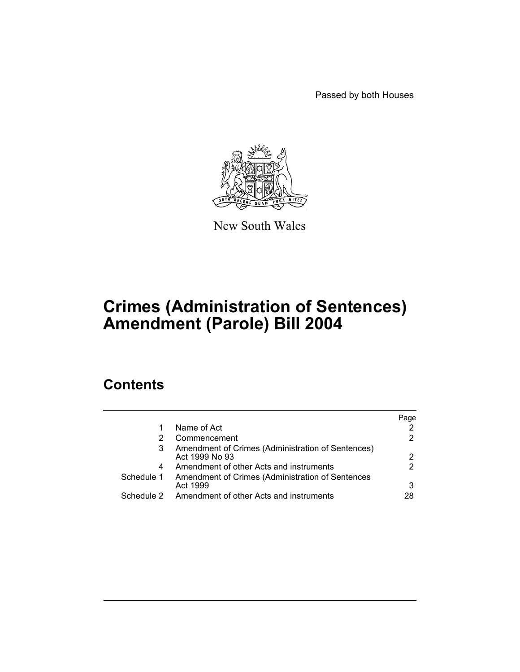Passed by both Houses



New South Wales

# **Crimes (Administration of Sentences) Amendment (Parole) Bill 2004**

# **Contents**

|                                                                     | Page |
|---------------------------------------------------------------------|------|
| Name of Act                                                         |      |
| Commencement                                                        |      |
| Amendment of Crimes (Administration of Sentences)<br>Act 1999 No 93 | 2    |
| Amendment of other Acts and instruments                             | 2    |
| Amendment of Crimes (Administration of Sentences<br>Act 1999        | 3    |
| Amendment of other Acts and instruments                             | 28   |
|                                                                     |      |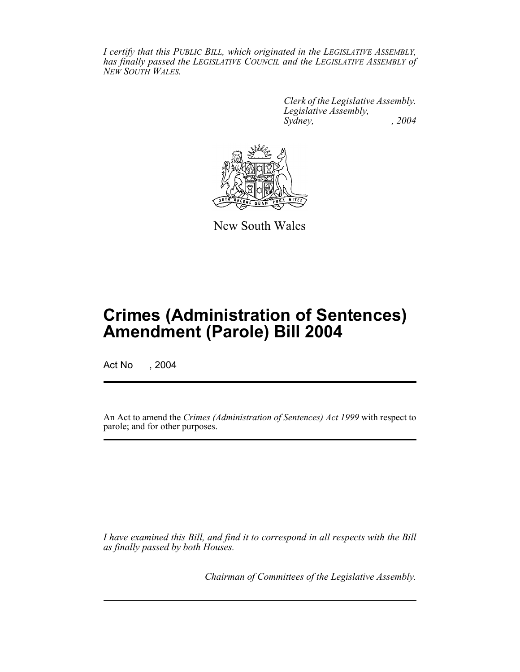*I certify that this PUBLIC BILL, which originated in the LEGISLATIVE ASSEMBLY, has finally passed the LEGISLATIVE COUNCIL and the LEGISLATIVE ASSEMBLY of NEW SOUTH WALES.*

> *Clerk of the Legislative Assembly. Legislative Assembly, Sydney, , 2004*



New South Wales

# **Crimes (Administration of Sentences) Amendment (Parole) Bill 2004**

Act No , 2004

An Act to amend the *Crimes (Administration of Sentences) Act 1999* with respect to parole; and for other purposes.

*I have examined this Bill, and find it to correspond in all respects with the Bill as finally passed by both Houses.*

*Chairman of Committees of the Legislative Assembly.*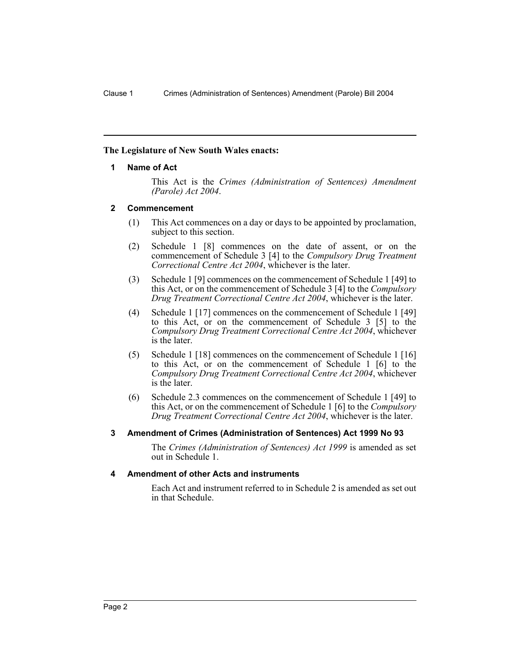#### **The Legislature of New South Wales enacts:**

#### **1 Name of Act**

This Act is the *Crimes (Administration of Sentences) Amendment (Parole) Act 2004*.

#### **2 Commencement**

- (1) This Act commences on a day or days to be appointed by proclamation, subject to this section.
- (2) Schedule 1 [8] commences on the date of assent, or on the commencement of Schedule 3 [4] to the *Compulsory Drug Treatment Correctional Centre Act 2004*, whichever is the later.
- (3) Schedule 1 [9] commences on the commencement of Schedule 1 [49] to this Act, or on the commencement of Schedule 3 [4] to the *Compulsory Drug Treatment Correctional Centre Act 2004*, whichever is the later.
- (4) Schedule 1 [17] commences on the commencement of Schedule 1 [49] to this Act, or on the commencement of Schedule 3 [5] to the *Compulsory Drug Treatment Correctional Centre Act 2004*, whichever is the later.
- (5) Schedule 1 [18] commences on the commencement of Schedule 1 [16] to this Act, or on the commencement of Schedule 1 [6] to the *Compulsory Drug Treatment Correctional Centre Act 2004*, whichever is the later.
- (6) Schedule 2.3 commences on the commencement of Schedule 1 [49] to this Act, or on the commencement of Schedule 1 [6] to the *Compulsory Drug Treatment Correctional Centre Act 2004*, whichever is the later.

#### **3 Amendment of Crimes (Administration of Sentences) Act 1999 No 93**

The *Crimes (Administration of Sentences) Act 1999* is amended as set out in Schedule 1.

#### **4 Amendment of other Acts and instruments**

Each Act and instrument referred to in Schedule 2 is amended as set out in that Schedule.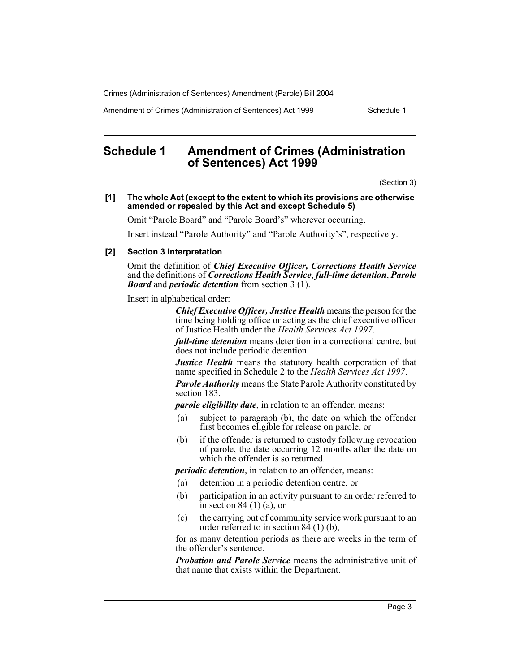Amendment of Crimes (Administration of Sentences) Act 1999 Schedule 1

# **Schedule 1 Amendment of Crimes (Administration of Sentences) Act 1999**

(Section 3)

#### **[1] The whole Act (except to the extent to which its provisions are otherwise amended or repealed by this Act and except Schedule 5)**

Omit "Parole Board" and "Parole Board's" wherever occurring.

Insert instead "Parole Authority" and "Parole Authority's", respectively.

#### **[2] Section 3 Interpretation**

Omit the definition of *Chief Executive Officer, Corrections Health Service* and the definitions of *Corrections Health Service*, *full-time detention*, *Parole Board* and *periodic detention* from section 3 (1).

Insert in alphabetical order:

*Chief Executive Officer, Justice Health* means the person for the time being holding office or acting as the chief executive officer of Justice Health under the *Health Services Act 1997*.

*full-time detention* means detention in a correctional centre, but does not include periodic detention.

*Justice Health* means the statutory health corporation of that name specified in Schedule 2 to the *Health Services Act 1997*.

*Parole Authority* means the State Parole Authority constituted by section 183.

*parole eligibility date*, in relation to an offender, means:

- (a) subject to paragraph (b), the date on which the offender first becomes eligible for release on parole, or
- (b) if the offender is returned to custody following revocation of parole, the date occurring 12 months after the date on which the offender is so returned.

*periodic detention*, in relation to an offender, means:

- (a) detention in a periodic detention centre, or
- (b) participation in an activity pursuant to an order referred to in section 84 $(1)$  $(a)$ , or
- (c) the carrying out of community service work pursuant to an order referred to in section  $84(1)$  (b),

for as many detention periods as there are weeks in the term of the offender's sentence.

*Probation and Parole Service* means the administrative unit of that name that exists within the Department.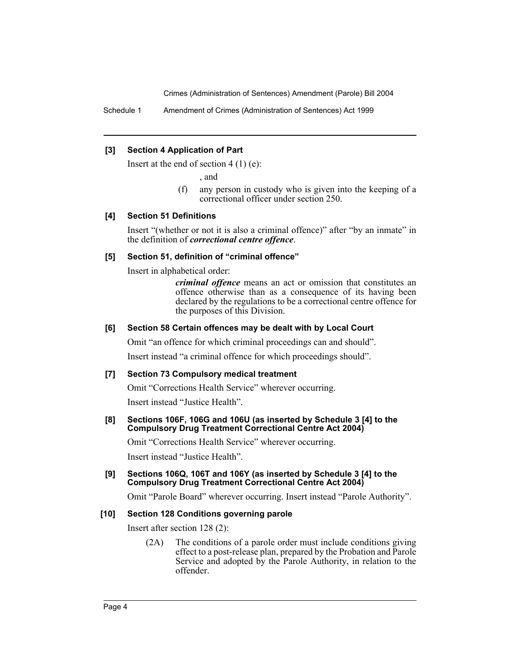Schedule 1 Amendment of Crimes (Administration of Sentences) Act 1999

#### **[3] Section 4 Application of Part**

Insert at the end of section  $4(1)(e)$ :

, and

(f) any person in custody who is given into the keeping of a correctional officer under section 250.

#### **[4] Section 51 Definitions**

Insert "(whether or not it is also a criminal offence)" after "by an inmate" in the definition of *correctional centre offence*.

#### **[5] Section 51, definition of "criminal offence"**

Insert in alphabetical order:

*criminal offence* means an act or omission that constitutes an offence otherwise than as a consequence of its having been declared by the regulations to be a correctional centre offence for the purposes of this Division.

#### **[6] Section 58 Certain offences may be dealt with by Local Court**

Omit "an offence for which criminal proceedings can and should".

Insert instead "a criminal offence for which proceedings should".

#### **[7] Section 73 Compulsory medical treatment**

Omit "Corrections Health Service" wherever occurring.

Insert instead "Justice Health".

#### **[8] Sections 106F, 106G and 106U (as inserted by Schedule 3 [4] to the Compulsory Drug Treatment Correctional Centre Act 2004)**

Omit "Corrections Health Service" wherever occurring.

Insert instead "Justice Health".

#### **[9] Sections 106Q, 106T and 106Y (as inserted by Schedule 3 [4] to the Compulsory Drug Treatment Correctional Centre Act 2004)**

Omit "Parole Board" wherever occurring. Insert instead "Parole Authority".

#### **[10] Section 128 Conditions governing parole**

Insert after section 128 (2):

(2A) The conditions of a parole order must include conditions giving effect to a post-release plan, prepared by the Probation and Parole Service and adopted by the Parole Authority, in relation to the offender.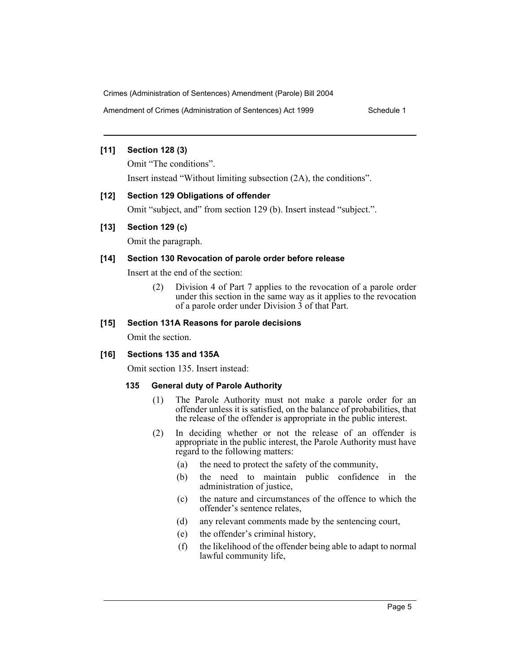Amendment of Crimes (Administration of Sentences) Act 1999 Schedule 1

#### **[11] Section 128 (3)**

Omit "The conditions".

Insert instead "Without limiting subsection (2A), the conditions".

# **[12] Section 129 Obligations of offender**

Omit "subject, and" from section 129 (b). Insert instead "subject.".

# **[13] Section 129 (c)**

Omit the paragraph.

# **[14] Section 130 Revocation of parole order before release**

Insert at the end of the section:

(2) Division 4 of Part 7 applies to the revocation of a parole order under this section in the same way as it applies to the revocation of a parole order under Division 3 of that Part.

# **[15] Section 131A Reasons for parole decisions**

Omit the section.

# **[16] Sections 135 and 135A**

Omit section 135. Insert instead:

### **135 General duty of Parole Authority**

- (1) The Parole Authority must not make a parole order for an offender unless it is satisfied, on the balance of probabilities, that the release of the offender is appropriate in the public interest.
- (2) In deciding whether or not the release of an offender is appropriate in the public interest, the Parole Authority must have regard to the following matters:
	- (a) the need to protect the safety of the community,
	- (b) the need to maintain public confidence in the administration of justice,
	- (c) the nature and circumstances of the offence to which the offender's sentence relates,
	- (d) any relevant comments made by the sentencing court,
	- (e) the offender's criminal history,
	- (f) the likelihood of the offender being able to adapt to normal lawful community life,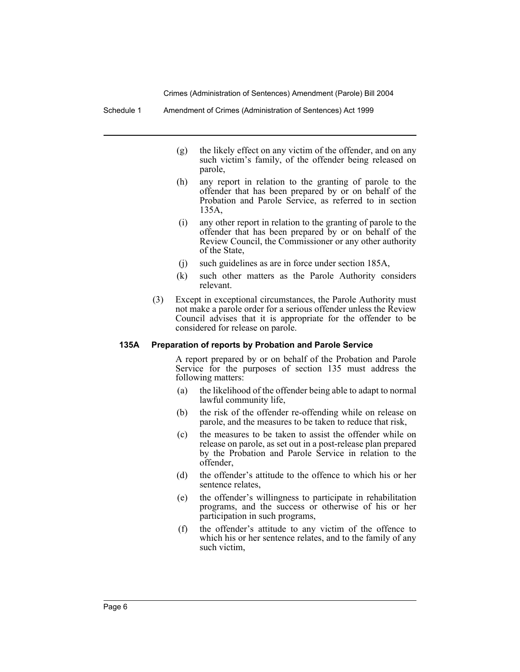Schedule 1 Amendment of Crimes (Administration of Sentences) Act 1999

- (g) the likely effect on any victim of the offender, and on any such victim's family, of the offender being released on parole,
- (h) any report in relation to the granting of parole to the offender that has been prepared by or on behalf of the Probation and Parole Service, as referred to in section 135A,
- (i) any other report in relation to the granting of parole to the offender that has been prepared by or on behalf of the Review Council, the Commissioner or any other authority of the State,
- (j) such guidelines as are in force under section 185A,
- (k) such other matters as the Parole Authority considers relevant.
- (3) Except in exceptional circumstances, the Parole Authority must not make a parole order for a serious offender unless the Review Council advises that it is appropriate for the offender to be considered for release on parole.

#### **135A Preparation of reports by Probation and Parole Service**

A report prepared by or on behalf of the Probation and Parole Service for the purposes of section 135 must address the following matters:

- (a) the likelihood of the offender being able to adapt to normal lawful community life,
- (b) the risk of the offender re-offending while on release on parole, and the measures to be taken to reduce that risk,
- (c) the measures to be taken to assist the offender while on release on parole, as set out in a post-release plan prepared by the Probation and Parole Service in relation to the offender,
- (d) the offender's attitude to the offence to which his or her sentence relates,
- (e) the offender's willingness to participate in rehabilitation programs, and the success or otherwise of his or her participation in such programs,
- (f) the offender's attitude to any victim of the offence to which his or her sentence relates, and to the family of any such victim,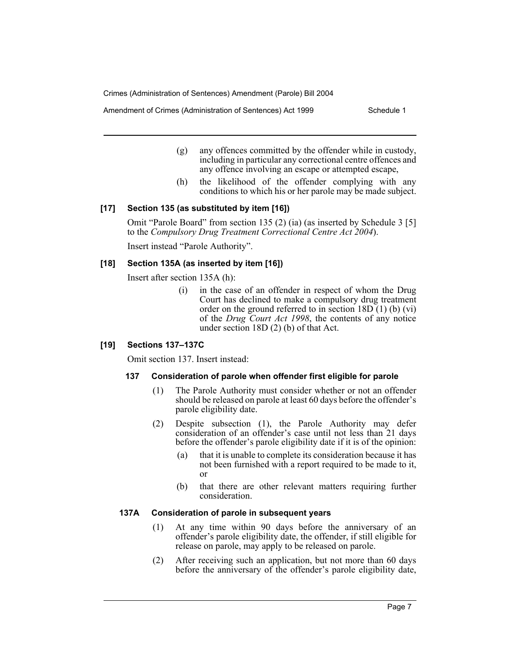Amendment of Crimes (Administration of Sentences) Act 1999 Schedule 1

- (g) any offences committed by the offender while in custody, including in particular any correctional centre offences and any offence involving an escape or attempted escape,
- (h) the likelihood of the offender complying with any conditions to which his or her parole may be made subject.

#### **[17] Section 135 (as substituted by item [16])**

Omit "Parole Board" from section 135 (2) (ia) (as inserted by Schedule 3 [5] to the *Compulsory Drug Treatment Correctional Centre Act 2004*).

Insert instead "Parole Authority".

#### **[18] Section 135A (as inserted by item [16])**

Insert after section 135A (h):

(i) in the case of an offender in respect of whom the Drug Court has declined to make a compulsory drug treatment order on the ground referred to in section  $18D(1)$  (b) (vi) of the *Drug Court Act 1998*, the contents of any notice under section 18D (2) (b) of that Act.

#### **[19] Sections 137–137C**

Omit section 137. Insert instead:

#### **137 Consideration of parole when offender first eligible for parole**

- (1) The Parole Authority must consider whether or not an offender should be released on parole at least 60 days before the offender's parole eligibility date.
- (2) Despite subsection (1), the Parole Authority may defer consideration of an offender's case until not less than 21 days before the offender's parole eligibility date if it is of the opinion:
	- (a) that it is unable to complete its consideration because it has not been furnished with a report required to be made to it, or
	- (b) that there are other relevant matters requiring further consideration.

#### **137A Consideration of parole in subsequent years**

- (1) At any time within 90 days before the anniversary of an offender's parole eligibility date, the offender, if still eligible for release on parole, may apply to be released on parole.
- (2) After receiving such an application, but not more than 60 days before the anniversary of the offender's parole eligibility date,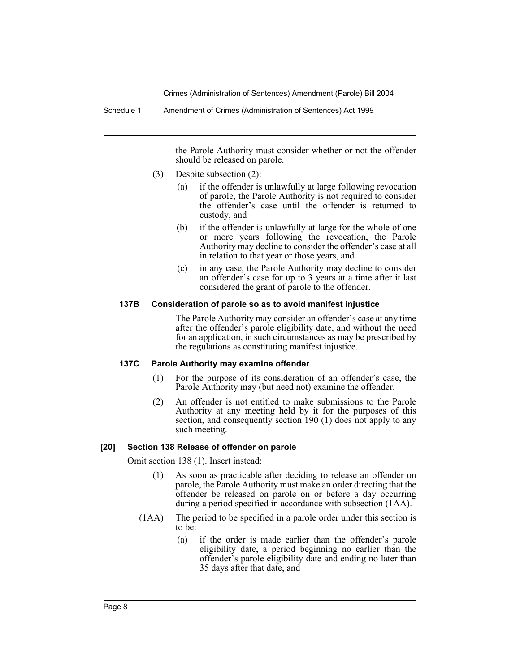Schedule 1 Amendment of Crimes (Administration of Sentences) Act 1999

the Parole Authority must consider whether or not the offender should be released on parole.

- (3) Despite subsection (2):
	- (a) if the offender is unlawfully at large following revocation of parole, the Parole Authority is not required to consider the offender's case until the offender is returned to custody, and
	- (b) if the offender is unlawfully at large for the whole of one or more years following the revocation, the Parole Authority may decline to consider the offender's case at all in relation to that year or those years, and
	- (c) in any case, the Parole Authority may decline to consider an offender's case for up to 3 years at a time after it last considered the grant of parole to the offender.

#### **137B Consideration of parole so as to avoid manifest injustice**

The Parole Authority may consider an offender's case at any time after the offender's parole eligibility date, and without the need for an application, in such circumstances as may be prescribed by the regulations as constituting manifest injustice.

#### **137C Parole Authority may examine offender**

- (1) For the purpose of its consideration of an offender's case, the Parole Authority may (but need not) examine the offender.
- (2) An offender is not entitled to make submissions to the Parole Authority at any meeting held by it for the purposes of this section, and consequently section 190 (1) does not apply to any such meeting.

#### **[20] Section 138 Release of offender on parole**

Omit section 138 (1). Insert instead:

- (1) As soon as practicable after deciding to release an offender on parole, the Parole Authority must make an order directing that the offender be released on parole on or before a day occurring during a period specified in accordance with subsection (1AA).
- (1AA) The period to be specified in a parole order under this section is to be:
	- (a) if the order is made earlier than the offender's parole eligibility date, a period beginning no earlier than the offender's parole eligibility date and ending no later than 35 days after that date, and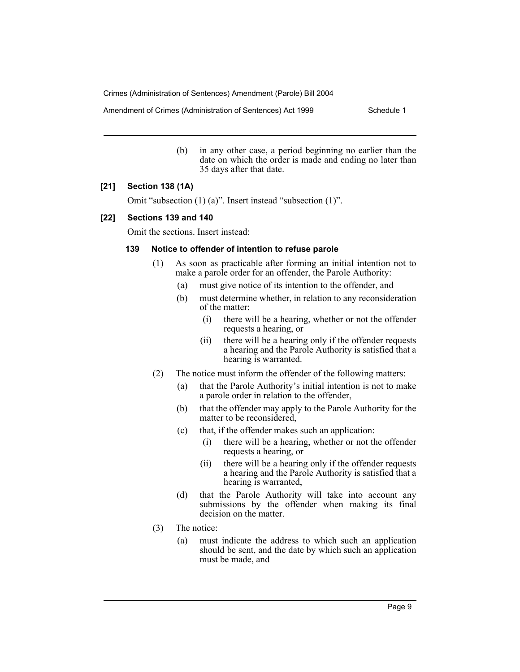Amendment of Crimes (Administration of Sentences) Act 1999 Schedule 1

(b) in any other case, a period beginning no earlier than the date on which the order is made and ending no later than 35 days after that date.

#### **[21] Section 138 (1A)**

Omit "subsection (1) (a)". Insert instead "subsection (1)".

#### **[22] Sections 139 and 140**

Omit the sections. Insert instead:

#### **139 Notice to offender of intention to refuse parole**

- (1) As soon as practicable after forming an initial intention not to make a parole order for an offender, the Parole Authority:
	- (a) must give notice of its intention to the offender, and
	- (b) must determine whether, in relation to any reconsideration of the matter:
		- (i) there will be a hearing, whether or not the offender requests a hearing, or
		- (ii) there will be a hearing only if the offender requests a hearing and the Parole Authority is satisfied that a hearing is warranted.
- (2) The notice must inform the offender of the following matters:
	- (a) that the Parole Authority's initial intention is not to make a parole order in relation to the offender,
	- (b) that the offender may apply to the Parole Authority for the matter to be reconsidered,
	- (c) that, if the offender makes such an application:
		- (i) there will be a hearing, whether or not the offender requests a hearing, or
		- (ii) there will be a hearing only if the offender requests a hearing and the Parole Authority is satisfied that a hearing is warranted,
	- (d) that the Parole Authority will take into account any submissions by the offender when making its final decision on the matter.
- (3) The notice:
	- (a) must indicate the address to which such an application should be sent, and the date by which such an application must be made, and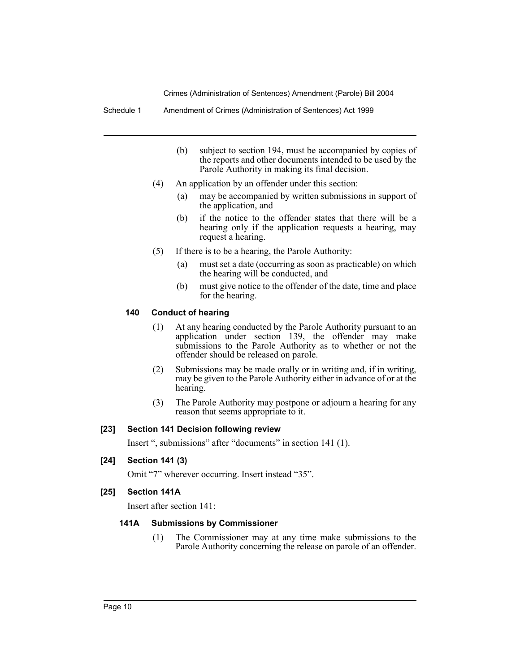Schedule 1 Amendment of Crimes (Administration of Sentences) Act 1999

- (b) subject to section 194, must be accompanied by copies of the reports and other documents intended to be used by the Parole Authority in making its final decision.
- (4) An application by an offender under this section:
	- (a) may be accompanied by written submissions in support of the application, and
	- (b) if the notice to the offender states that there will be a hearing only if the application requests a hearing, may request a hearing.
- (5) If there is to be a hearing, the Parole Authority:
	- (a) must set a date (occurring as soon as practicable) on which the hearing will be conducted, and
	- (b) must give notice to the offender of the date, time and place for the hearing.

#### **140 Conduct of hearing**

- (1) At any hearing conducted by the Parole Authority pursuant to an application under section 139, the offender may make submissions to the Parole Authority as to whether or not the offender should be released on parole.
- (2) Submissions may be made orally or in writing and, if in writing, may be given to the Parole Authority either in advance of or at the hearing.
- (3) The Parole Authority may postpone or adjourn a hearing for any reason that seems appropriate to it.

#### **[23] Section 141 Decision following review**

Insert ", submissions" after "documents" in section 141 (1).

#### **[24] Section 141 (3)**

Omit "7" wherever occurring. Insert instead "35".

#### **[25] Section 141A**

Insert after section 141:

#### **141A Submissions by Commissioner**

(1) The Commissioner may at any time make submissions to the Parole Authority concerning the release on parole of an offender.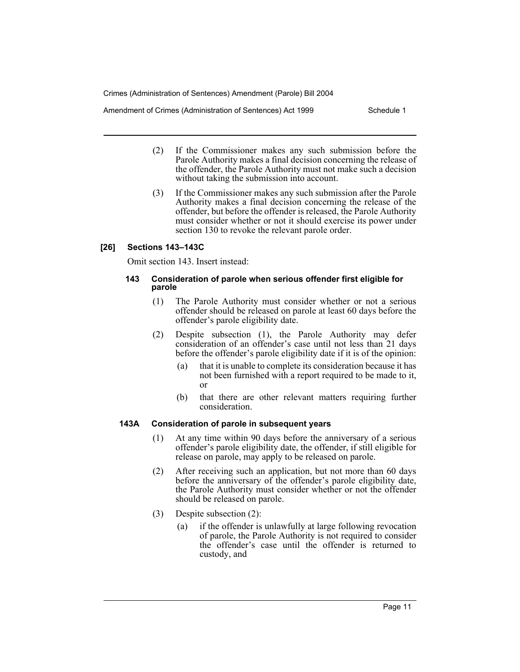Amendment of Crimes (Administration of Sentences) Act 1999 Schedule 1

- (2) If the Commissioner makes any such submission before the Parole Authority makes a final decision concerning the release of the offender, the Parole Authority must not make such a decision without taking the submission into account.
- (3) If the Commissioner makes any such submission after the Parole Authority makes a final decision concerning the release of the offender, but before the offender is released, the Parole Authority must consider whether or not it should exercise its power under section 130 to revoke the relevant parole order.

#### **[26] Sections 143–143C**

Omit section 143. Insert instead:

#### **143 Consideration of parole when serious offender first eligible for parole**

- (1) The Parole Authority must consider whether or not a serious offender should be released on parole at least 60 days before the offender's parole eligibility date.
- (2) Despite subsection (1), the Parole Authority may defer consideration of an offender's case until not less than 21 days before the offender's parole eligibility date if it is of the opinion:
	- (a) that it is unable to complete its consideration because it has not been furnished with a report required to be made to it, or
	- (b) that there are other relevant matters requiring further consideration.

#### **143A Consideration of parole in subsequent years**

- (1) At any time within 90 days before the anniversary of a serious offender's parole eligibility date, the offender, if still eligible for release on parole, may apply to be released on parole.
- (2) After receiving such an application, but not more than 60 days before the anniversary of the offender's parole eligibility date, the Parole Authority must consider whether or not the offender should be released on parole.
- (3) Despite subsection (2):
	- (a) if the offender is unlawfully at large following revocation of parole, the Parole Authority is not required to consider the offender's case until the offender is returned to custody, and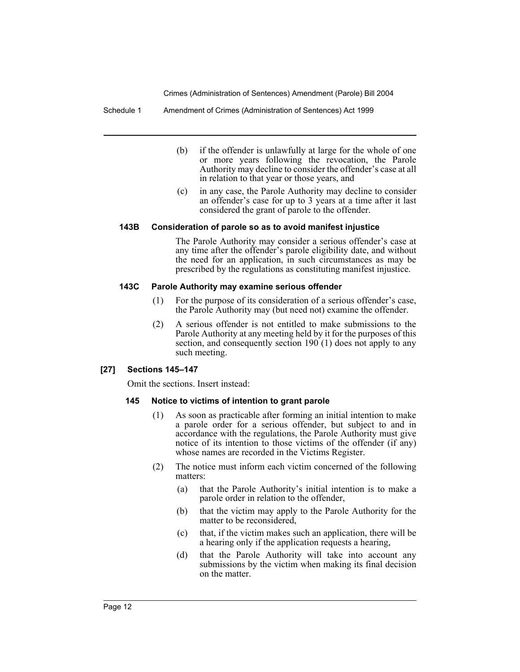Schedule 1 Amendment of Crimes (Administration of Sentences) Act 1999

- (b) if the offender is unlawfully at large for the whole of one or more years following the revocation, the Parole Authority may decline to consider the offender's case at all in relation to that year or those years, and
- (c) in any case, the Parole Authority may decline to consider an offender's case for up to 3 years at a time after it last considered the grant of parole to the offender.

#### **143B Consideration of parole so as to avoid manifest injustice**

The Parole Authority may consider a serious offender's case at any time after the offender's parole eligibility date, and without the need for an application, in such circumstances as may be prescribed by the regulations as constituting manifest injustice.

#### **143C Parole Authority may examine serious offender**

- (1) For the purpose of its consideration of a serious offender's case, the Parole Authority may (but need not) examine the offender.
- (2) A serious offender is not entitled to make submissions to the Parole Authority at any meeting held by it for the purposes of this section, and consequently section 190 (1) does not apply to any such meeting.

#### **[27] Sections 145–147**

Omit the sections. Insert instead:

#### **145 Notice to victims of intention to grant parole**

- (1) As soon as practicable after forming an initial intention to make a parole order for a serious offender, but subject to and in accordance with the regulations, the Parole Authority must give notice of its intention to those victims of the offender (if any) whose names are recorded in the Victims Register.
- (2) The notice must inform each victim concerned of the following matters:
	- (a) that the Parole Authority's initial intention is to make a parole order in relation to the offender,
	- (b) that the victim may apply to the Parole Authority for the matter to be reconsidered,
	- (c) that, if the victim makes such an application, there will be a hearing only if the application requests a hearing,
	- (d) that the Parole Authority will take into account any submissions by the victim when making its final decision on the matter.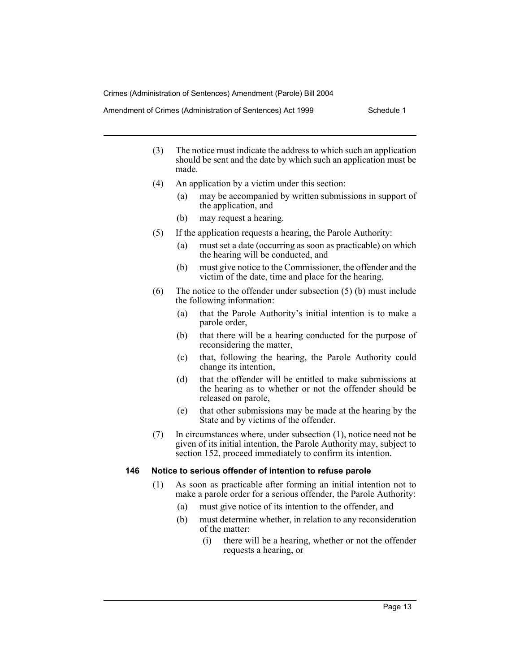Amendment of Crimes (Administration of Sentences) Act 1999 Schedule 1

- (3) The notice must indicate the address to which such an application should be sent and the date by which such an application must be made.
- (4) An application by a victim under this section:
	- (a) may be accompanied by written submissions in support of the application, and
	- (b) may request a hearing.
- (5) If the application requests a hearing, the Parole Authority:
	- (a) must set a date (occurring as soon as practicable) on which the hearing will be conducted, and
	- (b) must give notice to the Commissioner, the offender and the victim of the date, time and place for the hearing.
- (6) The notice to the offender under subsection (5) (b) must include the following information:
	- (a) that the Parole Authority's initial intention is to make a parole order,
	- (b) that there will be a hearing conducted for the purpose of reconsidering the matter,
	- (c) that, following the hearing, the Parole Authority could change its intention,
	- (d) that the offender will be entitled to make submissions at the hearing as to whether or not the offender should be released on parole,
	- (e) that other submissions may be made at the hearing by the State and by victims of the offender.
- (7) In circumstances where, under subsection (1), notice need not be given of its initial intention, the Parole Authority may, subject to section 152, proceed immediately to confirm its intention.

#### **146 Notice to serious offender of intention to refuse parole**

- (1) As soon as practicable after forming an initial intention not to make a parole order for a serious offender, the Parole Authority:
	- (a) must give notice of its intention to the offender, and
	- (b) must determine whether, in relation to any reconsideration of the matter:
		- (i) there will be a hearing, whether or not the offender requests a hearing, or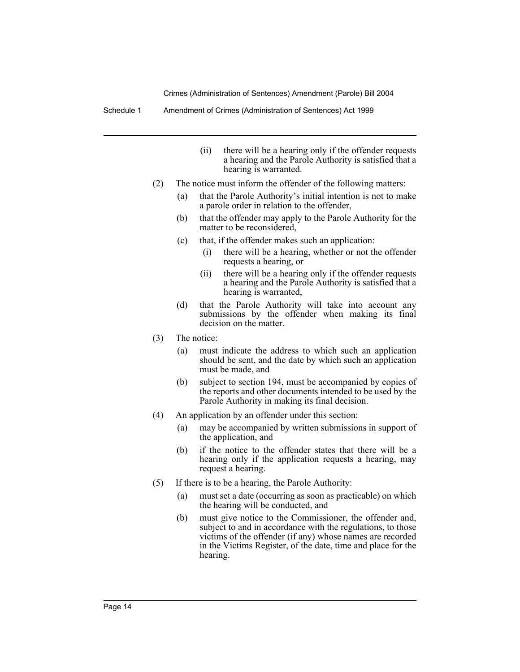Schedule 1 Amendment of Crimes (Administration of Sentences) Act 1999

- (ii) there will be a hearing only if the offender requests a hearing and the Parole Authority is satisfied that a hearing is warranted.
- (2) The notice must inform the offender of the following matters:
	- (a) that the Parole Authority's initial intention is not to make a parole order in relation to the offender,
	- (b) that the offender may apply to the Parole Authority for the matter to be reconsidered,
	- (c) that, if the offender makes such an application:
		- (i) there will be a hearing, whether or not the offender requests a hearing, or
		- (ii) there will be a hearing only if the offender requests a hearing and the Parole Authority is satisfied that a hearing is warranted,
	- (d) that the Parole Authority will take into account any submissions by the offender when making its final decision on the matter.
- (3) The notice:
	- (a) must indicate the address to which such an application should be sent, and the date by which such an application must be made, and
	- (b) subject to section 194, must be accompanied by copies of the reports and other documents intended to be used by the Parole Authority in making its final decision.
- (4) An application by an offender under this section:
	- (a) may be accompanied by written submissions in support of the application, and
	- (b) if the notice to the offender states that there will be a hearing only if the application requests a hearing, may request a hearing.
- (5) If there is to be a hearing, the Parole Authority:
	- (a) must set a date (occurring as soon as practicable) on which the hearing will be conducted, and
	- (b) must give notice to the Commissioner, the offender and, subject to and in accordance with the regulations, to those victims of the offender (if any) whose names are recorded in the Victims Register, of the date, time and place for the hearing.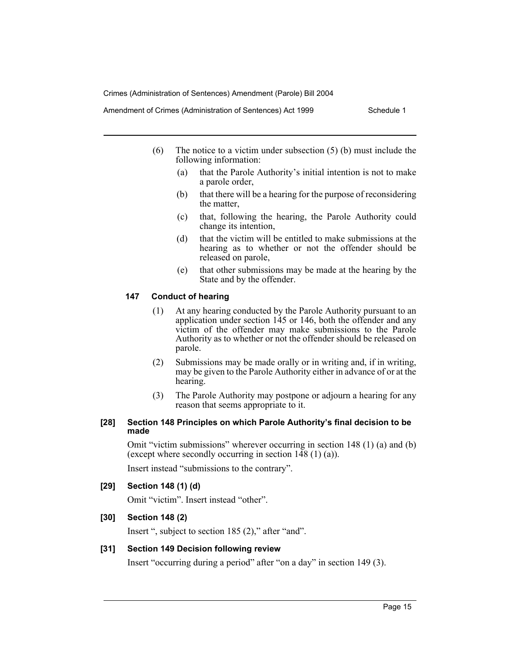Amendment of Crimes (Administration of Sentences) Act 1999 Schedule 1

- (6) The notice to a victim under subsection (5) (b) must include the following information:
	- (a) that the Parole Authority's initial intention is not to make a parole order,
	- (b) that there will be a hearing for the purpose of reconsidering the matter,
	- (c) that, following the hearing, the Parole Authority could change its intention,
	- (d) that the victim will be entitled to make submissions at the hearing as to whether or not the offender should be released on parole,
	- (e) that other submissions may be made at the hearing by the State and by the offender.

#### **147 Conduct of hearing**

- (1) At any hearing conducted by the Parole Authority pursuant to an application under section 145 or 146, both the offender and any victim of the offender may make submissions to the Parole Authority as to whether or not the offender should be released on parole.
- (2) Submissions may be made orally or in writing and, if in writing, may be given to the Parole Authority either in advance of or at the hearing.
- (3) The Parole Authority may postpone or adjourn a hearing for any reason that seems appropriate to it.

#### **[28] Section 148 Principles on which Parole Authority's final decision to be made**

Omit "victim submissions" wherever occurring in section 148 (1) (a) and (b) (except where secondly occurring in section  $148(1)(a)$ ).

Insert instead "submissions to the contrary".

#### **[29] Section 148 (1) (d)**

Omit "victim". Insert instead "other".

#### **[30] Section 148 (2)**

Insert ", subject to section 185 (2)," after "and".

#### **[31] Section 149 Decision following review**

Insert "occurring during a period" after "on a day" in section 149 (3).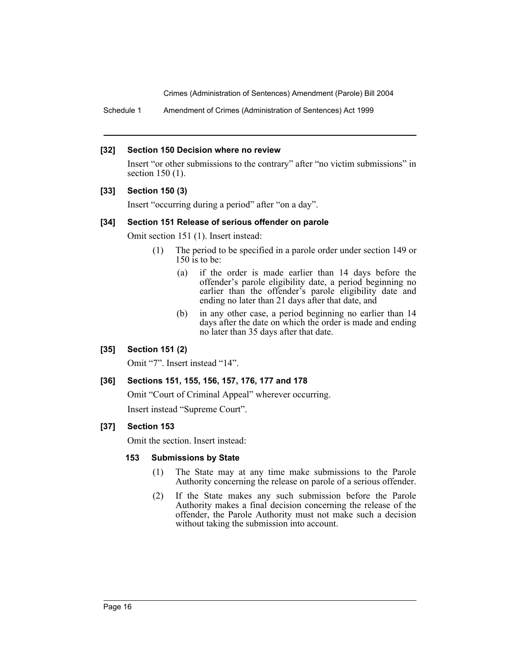Schedule 1 Amendment of Crimes (Administration of Sentences) Act 1999

#### **[32] Section 150 Decision where no review**

Insert "or other submissions to the contrary" after "no victim submissions" in section 150 (1).

#### **[33] Section 150 (3)**

Insert "occurring during a period" after "on a day".

#### **[34] Section 151 Release of serious offender on parole**

Omit section 151 (1). Insert instead:

- (1) The period to be specified in a parole order under section 149 or 150 is to be:
	- (a) if the order is made earlier than 14 days before the offender's parole eligibility date, a period beginning no earlier than the offender's parole eligibility date and ending no later than 21 days after that date, and
	- (b) in any other case, a period beginning no earlier than 14 days after the date on which the order is made and ending no later than 35 days after that date.

#### **[35] Section 151 (2)**

Omit "7". Insert instead "14".

#### **[36] Sections 151, 155, 156, 157, 176, 177 and 178**

Omit "Court of Criminal Appeal" wherever occurring. Insert instead "Supreme Court".

#### **[37] Section 153**

Omit the section. Insert instead:

#### **153 Submissions by State**

- (1) The State may at any time make submissions to the Parole Authority concerning the release on parole of a serious offender.
- (2) If the State makes any such submission before the Parole Authority makes a final decision concerning the release of the offender, the Parole Authority must not make such a decision without taking the submission into account.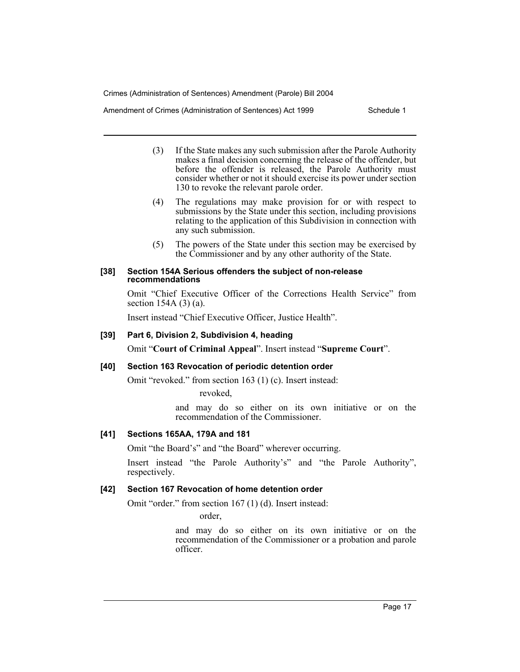Amendment of Crimes (Administration of Sentences) Act 1999 Schedule 1

- (3) If the State makes any such submission after the Parole Authority makes a final decision concerning the release of the offender, but before the offender is released, the Parole Authority must consider whether or not it should exercise its power under section 130 to revoke the relevant parole order.
- (4) The regulations may make provision for or with respect to submissions by the State under this section, including provisions relating to the application of this Subdivision in connection with any such submission.
- (5) The powers of the State under this section may be exercised by the Commissioner and by any other authority of the State.

#### **[38] Section 154A Serious offenders the subject of non-release recommendations**

Omit "Chief Executive Officer of the Corrections Health Service" from section 154A (3) (a).

Insert instead "Chief Executive Officer, Justice Health".

### **[39] Part 6, Division 2, Subdivision 4, heading**

Omit "**Court of Criminal Appeal**". Insert instead "**Supreme Court**".

#### **[40] Section 163 Revocation of periodic detention order**

Omit "revoked." from section 163 (1) (c). Insert instead:

revoked,

and may do so either on its own initiative or on the recommendation of the Commissioner.

#### **[41] Sections 165AA, 179A and 181**

Omit "the Board's" and "the Board" wherever occurring.

Insert instead "the Parole Authority's" and "the Parole Authority", respectively.

#### **[42] Section 167 Revocation of home detention order**

Omit "order." from section 167 (1) (d). Insert instead:

order,

and may do so either on its own initiative or on the recommendation of the Commissioner or a probation and parole officer.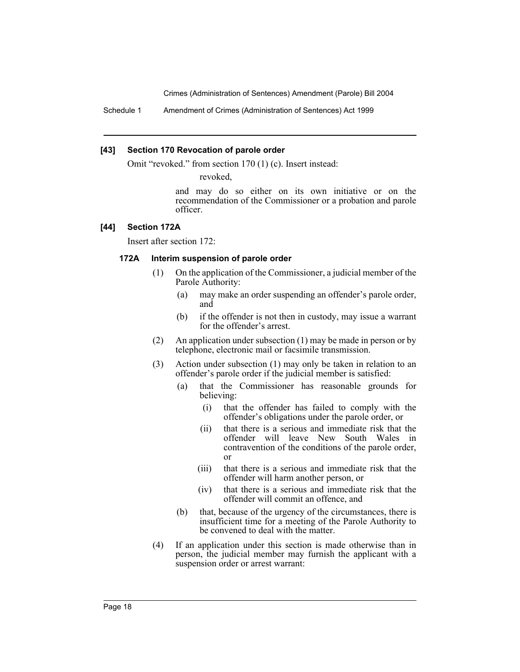Schedule 1 Amendment of Crimes (Administration of Sentences) Act 1999

#### **[43] Section 170 Revocation of parole order**

Omit "revoked." from section 170 (1) (c). Insert instead:

revoked,

and may do so either on its own initiative or on the recommendation of the Commissioner or a probation and parole officer.

#### **[44] Section 172A**

Insert after section 172:

#### **172A Interim suspension of parole order**

- (1) On the application of the Commissioner, a judicial member of the Parole Authority:
	- (a) may make an order suspending an offender's parole order, and
	- (b) if the offender is not then in custody, may issue a warrant for the offender's arrest.
- (2) An application under subsection (1) may be made in person or by telephone, electronic mail or facsimile transmission.
- (3) Action under subsection (1) may only be taken in relation to an offender's parole order if the judicial member is satisfied:
	- (a) that the Commissioner has reasonable grounds for believing:
		- (i) that the offender has failed to comply with the offender's obligations under the parole order, or
		- (ii) that there is a serious and immediate risk that the offender will leave New South Wales in contravention of the conditions of the parole order, or
		- (iii) that there is a serious and immediate risk that the offender will harm another person, or
		- (iv) that there is a serious and immediate risk that the offender will commit an offence, and
	- (b) that, because of the urgency of the circumstances, there is insufficient time for a meeting of the Parole Authority to be convened to deal with the matter.
- (4) If an application under this section is made otherwise than in person, the judicial member may furnish the applicant with a suspension order or arrest warrant: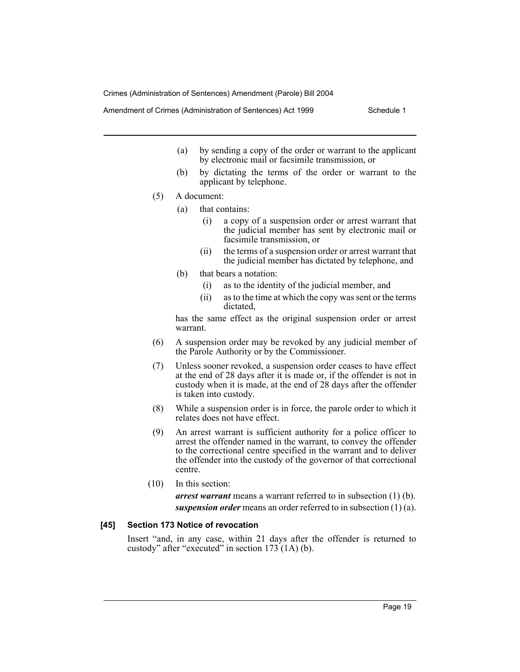Amendment of Crimes (Administration of Sentences) Act 1999 Schedule 1

- (a) by sending a copy of the order or warrant to the applicant by electronic mail or facsimile transmission, or
- (b) by dictating the terms of the order or warrant to the applicant by telephone.
- (5) A document:
	- (a) that contains:
		- (i) a copy of a suspension order or arrest warrant that the judicial member has sent by electronic mail or facsimile transmission, or
		- (ii) the terms of a suspension order or arrest warrant that the judicial member has dictated by telephone, and
	- (b) that bears a notation:
		- (i) as to the identity of the judicial member, and
		- (ii) as to the time at which the copy was sent or the terms dictated,

has the same effect as the original suspension order or arrest warrant.

- (6) A suspension order may be revoked by any judicial member of the Parole Authority or by the Commissioner.
- (7) Unless sooner revoked, a suspension order ceases to have effect at the end of 28 days after it is made or, if the offender is not in custody when it is made, at the end of 28 days after the offender is taken into custody.
- (8) While a suspension order is in force, the parole order to which it relates does not have effect.
- (9) An arrest warrant is sufficient authority for a police officer to arrest the offender named in the warrant, to convey the offender to the correctional centre specified in the warrant and to deliver the offender into the custody of the governor of that correctional centre.
- (10) In this section:

*arrest warrant* means a warrant referred to in subsection (1) (b). *suspension order* means an order referred to in subsection (1) (a).

#### **[45] Section 173 Notice of revocation**

Insert "and, in any case, within 21 days after the offender is returned to custody" after "executed" in section  $173(1A)$  (b).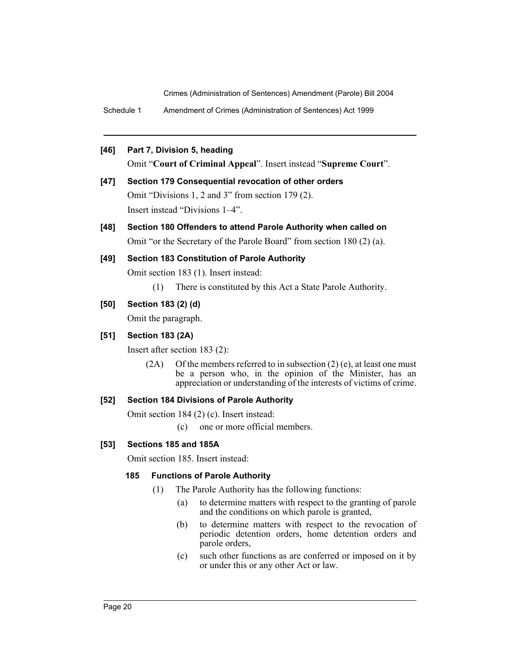Schedule 1 Amendment of Crimes (Administration of Sentences) Act 1999

# **[46] Part 7, Division 5, heading**

Omit "**Court of Criminal Appeal**". Insert instead "**Supreme Court**".

- **[47] Section 179 Consequential revocation of other orders** Omit "Divisions 1, 2 and 3" from section 179 (2). Insert instead "Divisions 1–4".
- **[48] Section 180 Offenders to attend Parole Authority when called on** Omit "or the Secretary of the Parole Board" from section 180 (2) (a).

# **[49] Section 183 Constitution of Parole Authority**

Omit section 183 (1). Insert instead:

(1) There is constituted by this Act a State Parole Authority.

# **[50] Section 183 (2) (d)**

Omit the paragraph.

### **[51] Section 183 (2A)**

Insert after section 183 (2):

 $(2A)$  Of the members referred to in subsection  $(2)$  (e), at least one must be a person who, in the opinion of the Minister, has an appreciation or understanding of the interests of victims of crime.

#### **[52] Section 184 Divisions of Parole Authority**

Omit section 184 (2) (c). Insert instead:

(c) one or more official members.

# **[53] Sections 185 and 185A**

Omit section 185. Insert instead:

#### **185 Functions of Parole Authority**

- (1) The Parole Authority has the following functions:
	- (a) to determine matters with respect to the granting of parole and the conditions on which parole is granted,
	- (b) to determine matters with respect to the revocation of periodic detention orders, home detention orders and parole orders,
	- (c) such other functions as are conferred or imposed on it by or under this or any other Act or law.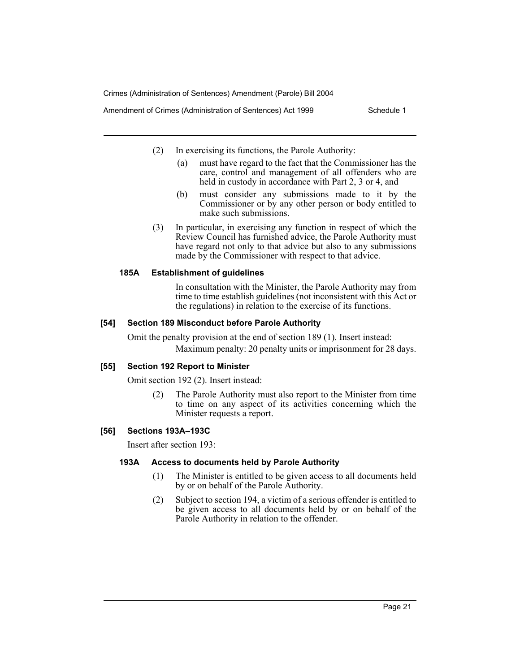Amendment of Crimes (Administration of Sentences) Act 1999 Schedule 1

- (2) In exercising its functions, the Parole Authority:
	- (a) must have regard to the fact that the Commissioner has the care, control and management of all offenders who are held in custody in accordance with Part 2, 3 or 4, and
	- (b) must consider any submissions made to it by the Commissioner or by any other person or body entitled to make such submissions.
- (3) In particular, in exercising any function in respect of which the Review Council has furnished advice, the Parole Authority must have regard not only to that advice but also to any submissions made by the Commissioner with respect to that advice.

# **185A Establishment of guidelines**

In consultation with the Minister, the Parole Authority may from time to time establish guidelines (not inconsistent with this Act or the regulations) in relation to the exercise of its functions.

# **[54] Section 189 Misconduct before Parole Authority**

Omit the penalty provision at the end of section 189 (1). Insert instead: Maximum penalty: 20 penalty units or imprisonment for 28 days.

# **[55] Section 192 Report to Minister**

Omit section 192 (2). Insert instead:

(2) The Parole Authority must also report to the Minister from time to time on any aspect of its activities concerning which the Minister requests a report.

# **[56] Sections 193A–193C**

Insert after section 193:

# **193A Access to documents held by Parole Authority**

- (1) The Minister is entitled to be given access to all documents held by or on behalf of the Parole Authority.
- (2) Subject to section 194, a victim of a serious offender is entitled to be given access to all documents held by or on behalf of the Parole Authority in relation to the offender.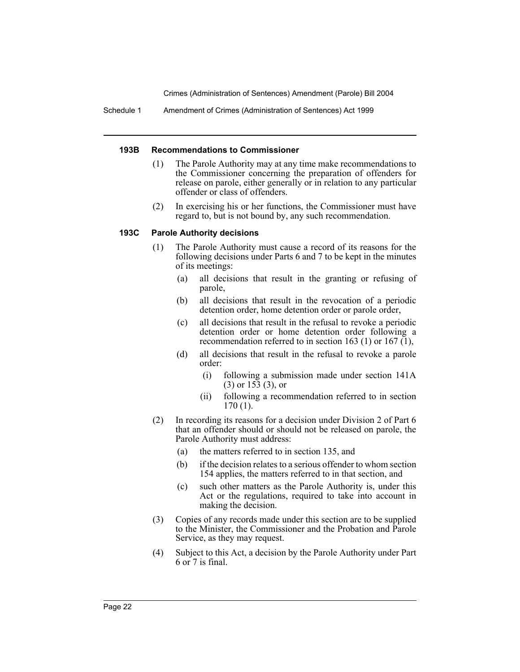Schedule 1 Amendment of Crimes (Administration of Sentences) Act 1999

#### **193B Recommendations to Commissioner**

- (1) The Parole Authority may at any time make recommendations to the Commissioner concerning the preparation of offenders for release on parole, either generally or in relation to any particular offender or class of offenders.
- (2) In exercising his or her functions, the Commissioner must have regard to, but is not bound by, any such recommendation.

#### **193C Parole Authority decisions**

- (1) The Parole Authority must cause a record of its reasons for the following decisions under Parts 6 and 7 to be kept in the minutes of its meetings:
	- (a) all decisions that result in the granting or refusing of parole,
	- (b) all decisions that result in the revocation of a periodic detention order, home detention order or parole order,
	- (c) all decisions that result in the refusal to revoke a periodic detention order or home detention order following a recommendation referred to in section 163 (1) or 167  $(1)$ ,
	- (d) all decisions that result in the refusal to revoke a parole order:
		- (i) following a submission made under section 141A (3) or 153 (3), or
		- (ii) following a recommendation referred to in section 170 (1).
- (2) In recording its reasons for a decision under Division 2 of Part 6 that an offender should or should not be released on parole, the Parole Authority must address:
	- (a) the matters referred to in section 135, and
	- (b) if the decision relates to a serious offender to whom section 154 applies, the matters referred to in that section, and
	- (c) such other matters as the Parole Authority is, under this Act or the regulations, required to take into account in making the decision.
- (3) Copies of any records made under this section are to be supplied to the Minister, the Commissioner and the Probation and Parole Service, as they may request.
- (4) Subject to this Act, a decision by the Parole Authority under Part 6 or 7 is final.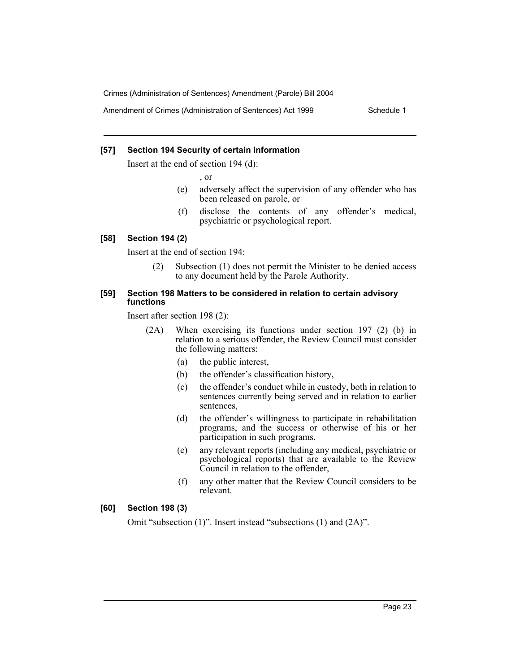Amendment of Crimes (Administration of Sentences) Act 1999 Schedule 1

#### **[57] Section 194 Security of certain information**

Insert at the end of section 194 (d):

, or

- (e) adversely affect the supervision of any offender who has been released on parole, or
- (f) disclose the contents of any offender's medical, psychiatric or psychological report.

#### **[58] Section 194 (2)**

Insert at the end of section 194:

(2) Subsection (1) does not permit the Minister to be denied access to any document held by the Parole Authority.

#### **[59] Section 198 Matters to be considered in relation to certain advisory functions**

Insert after section 198 (2):

- (2A) When exercising its functions under section 197 (2) (b) in relation to a serious offender, the Review Council must consider the following matters:
	- (a) the public interest,
	- (b) the offender's classification history,
	- (c) the offender's conduct while in custody, both in relation to sentences currently being served and in relation to earlier sentences,
	- (d) the offender's willingness to participate in rehabilitation programs, and the success or otherwise of his or her participation in such programs,
	- (e) any relevant reports (including any medical, psychiatric or psychological reports) that are available to the Review Council in relation to the offender,
	- (f) any other matter that the Review Council considers to be relevant.

#### **[60] Section 198 (3)**

Omit "subsection (1)". Insert instead "subsections (1) and (2A)".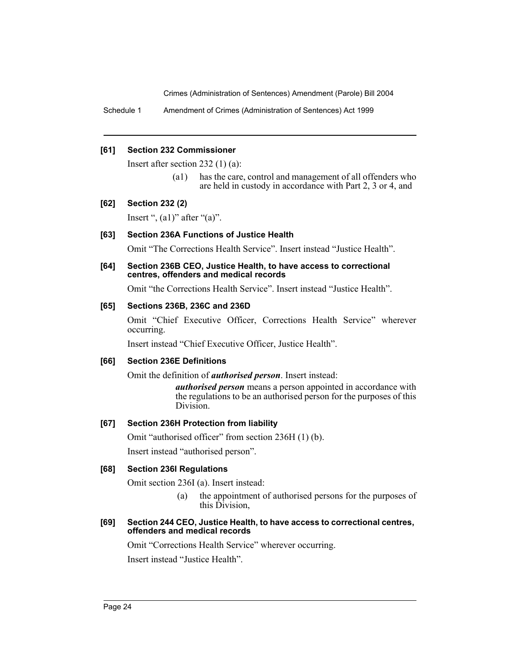Schedule 1 Amendment of Crimes (Administration of Sentences) Act 1999

#### **[61] Section 232 Commissioner**

Insert after section 232 (1) (a):

(a1) has the care, control and management of all offenders who are held in custody in accordance with Part 2, 3 or 4, and

#### **[62] Section 232 (2)**

Insert ",  $(a1)$ " after " $(a)$ ".

#### **[63] Section 236A Functions of Justice Health**

Omit "The Corrections Health Service". Insert instead "Justice Health".

#### **[64] Section 236B CEO, Justice Health, to have access to correctional centres, offenders and medical records**

Omit "the Corrections Health Service". Insert instead "Justice Health".

#### **[65] Sections 236B, 236C and 236D**

Omit "Chief Executive Officer, Corrections Health Service" wherever occurring.

Insert instead "Chief Executive Officer, Justice Health".

#### **[66] Section 236E Definitions**

Omit the definition of *authorised person*. Insert instead:

*authorised person* means a person appointed in accordance with the regulations to be an authorised person for the purposes of this Division.

#### **[67] Section 236H Protection from liability**

Omit "authorised officer" from section 236H (1) (b).

Insert instead "authorised person".

#### **[68] Section 236I Regulations**

Omit section 236I (a). Insert instead:

(a) the appointment of authorised persons for the purposes of this Division,

#### **[69] Section 244 CEO, Justice Health, to have access to correctional centres, offenders and medical records**

Omit "Corrections Health Service" wherever occurring.

Insert instead "Justice Health".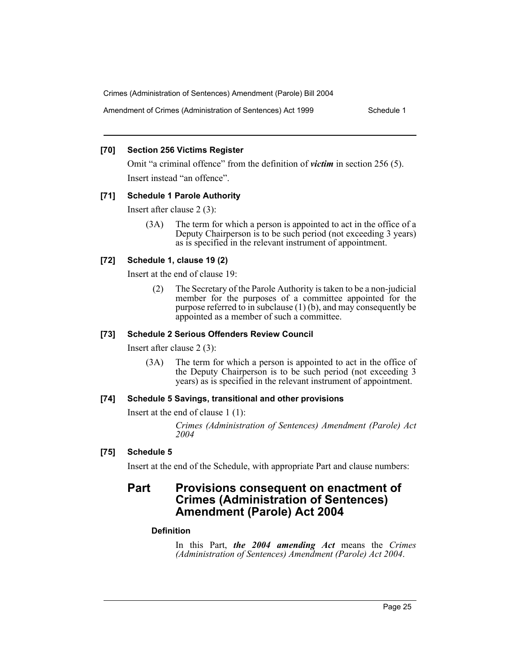Amendment of Crimes (Administration of Sentences) Act 1999 Schedule 1

#### **[70] Section 256 Victims Register**

Omit "a criminal offence" from the definition of *victim* in section 256 (5). Insert instead "an offence".

# **[71] Schedule 1 Parole Authority**

Insert after clause 2 (3):

(3A) The term for which a person is appointed to act in the office of a Deputy Chairperson is to be such period (not exceeding 3 years) as is specified in the relevant instrument of appointment.

# **[72] Schedule 1, clause 19 (2)**

Insert at the end of clause 19:

(2) The Secretary of the Parole Authority is taken to be a non-judicial member for the purposes of a committee appointed for the purpose referred to in subclause (1) (b), and may consequently be appointed as a member of such a committee.

# **[73] Schedule 2 Serious Offenders Review Council**

Insert after clause 2 (3):

(3A) The term for which a person is appointed to act in the office of the Deputy Chairperson is to be such period (not exceeding 3 years) as is specified in the relevant instrument of appointment.

# **[74] Schedule 5 Savings, transitional and other provisions**

Insert at the end of clause 1 (1):

*Crimes (Administration of Sentences) Amendment (Parole) Act 2004*

# **[75] Schedule 5**

Insert at the end of the Schedule, with appropriate Part and clause numbers:

# **Part Provisions consequent on enactment of Crimes (Administration of Sentences) Amendment (Parole) Act 2004**

# **Definition**

In this Part, *the 2004 amending Act* means the *Crimes (Administration of Sentences) Amendment (Parole) Act 2004*.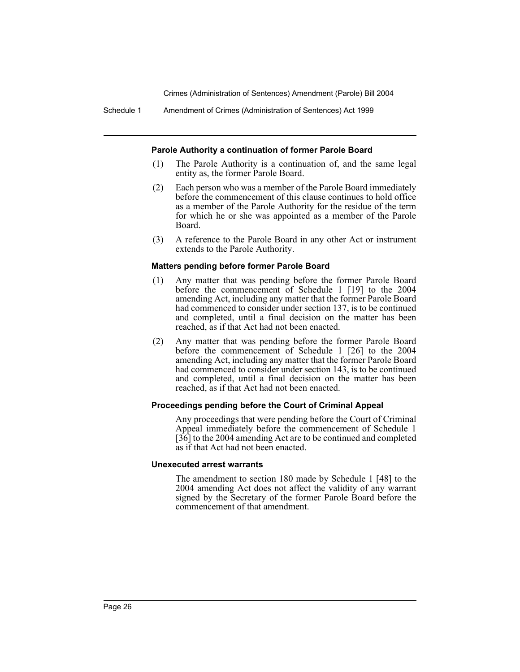Schedule 1 Amendment of Crimes (Administration of Sentences) Act 1999

#### **Parole Authority a continuation of former Parole Board**

- (1) The Parole Authority is a continuation of, and the same legal entity as, the former Parole Board.
- (2) Each person who was a member of the Parole Board immediately before the commencement of this clause continues to hold office as a member of the Parole Authority for the residue of the term for which he or she was appointed as a member of the Parole Board.
- (3) A reference to the Parole Board in any other Act or instrument extends to the Parole Authority.

#### **Matters pending before former Parole Board**

- (1) Any matter that was pending before the former Parole Board before the commencement of Schedule 1 [19] to the 2004 amending Act, including any matter that the former Parole Board had commenced to consider under section 137, is to be continued and completed, until a final decision on the matter has been reached, as if that Act had not been enacted.
- (2) Any matter that was pending before the former Parole Board before the commencement of Schedule 1 [26] to the 2004 amending Act, including any matter that the former Parole Board had commenced to consider under section 143, is to be continued and completed, until a final decision on the matter has been reached, as if that Act had not been enacted.

#### **Proceedings pending before the Court of Criminal Appeal**

Any proceedings that were pending before the Court of Criminal Appeal immediately before the commencement of Schedule 1 [36] to the 2004 amending Act are to be continued and completed as if that Act had not been enacted.

#### **Unexecuted arrest warrants**

The amendment to section 180 made by Schedule 1 [48] to the 2004 amending Act does not affect the validity of any warrant signed by the Secretary of the former Parole Board before the commencement of that amendment.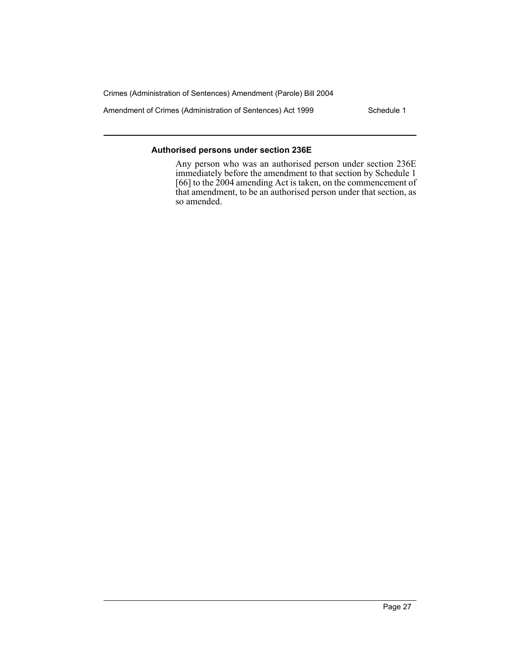Amendment of Crimes (Administration of Sentences) Act 1999 Schedule 1

# **Authorised persons under section 236E**

Any person who was an authorised person under section 236E immediately before the amendment to that section by Schedule 1 [66] to the 2004 amending Act is taken, on the commencement of that amendment, to be an authorised person under that section, as so amended.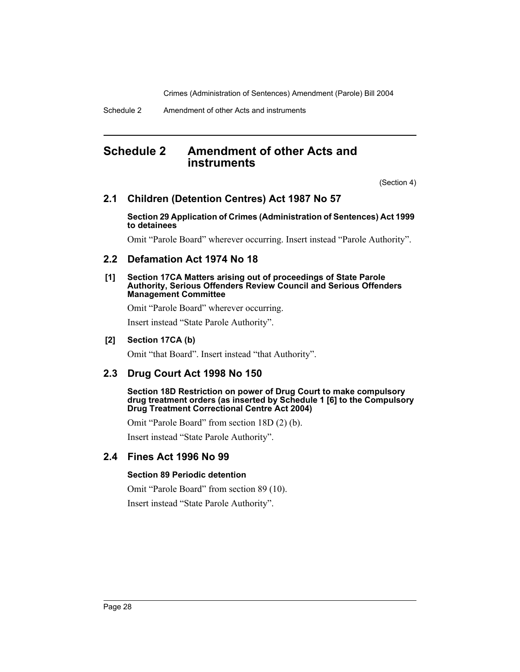Schedule 2 Amendment of other Acts and instruments

# **Schedule 2 Amendment of other Acts and instruments**

(Section 4)

# **2.1 Children (Detention Centres) Act 1987 No 57**

#### **Section 29 Application of Crimes (Administration of Sentences) Act 1999 to detainees**

Omit "Parole Board" wherever occurring. Insert instead "Parole Authority".

# **2.2 Defamation Act 1974 No 18**

#### **[1] Section 17CA Matters arising out of proceedings of State Parole Authority, Serious Offenders Review Council and Serious Offenders Management Committee**

Omit "Parole Board" wherever occurring.

Insert instead "State Parole Authority".

#### **[2] Section 17CA (b)**

Omit "that Board". Insert instead "that Authority".

# **2.3 Drug Court Act 1998 No 150**

**Section 18D Restriction on power of Drug Court to make compulsory drug treatment orders (as inserted by Schedule 1 [6] to the Compulsory Drug Treatment Correctional Centre Act 2004)**

Omit "Parole Board" from section 18D (2) (b).

Insert instead "State Parole Authority".

# **2.4 Fines Act 1996 No 99**

#### **Section 89 Periodic detention**

Omit "Parole Board" from section 89 (10).

Insert instead "State Parole Authority".